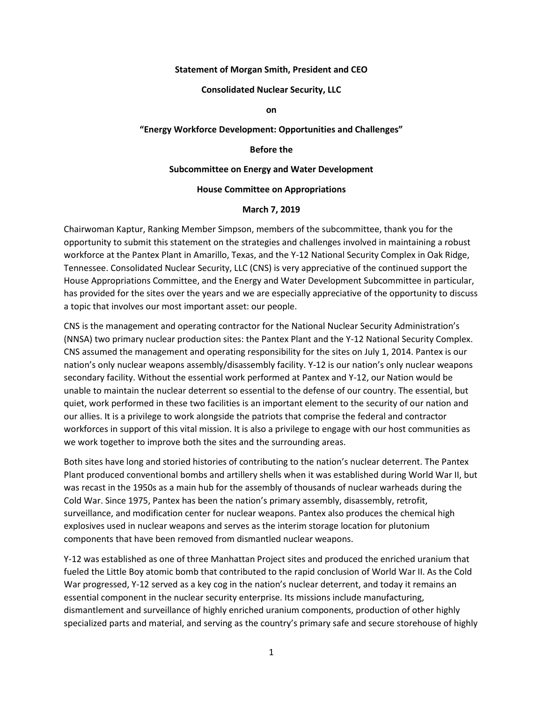#### **Statement of Morgan Smith, President and CEO**

#### **Consolidated Nuclear Security, LLC**

**on**

### **"Energy Workforce Development: Opportunities and Challenges"**

### **Before the**

### **Subcommittee on Energy and Water Development**

### **House Committee on Appropriations**

#### **March 7, 2019**

Chairwoman Kaptur, Ranking Member Simpson, members of the subcommittee, thank you for the opportunity to submit this statement on the strategies and challenges involved in maintaining a robust workforce at the Pantex Plant in Amarillo, Texas, and the Y-12 National Security Complex in Oak Ridge, Tennessee. Consolidated Nuclear Security, LLC (CNS) is very appreciative of the continued support the House Appropriations Committee, and the Energy and Water Development Subcommittee in particular, has provided for the sites over the years and we are especially appreciative of the opportunity to discuss a topic that involves our most important asset: our people.

CNS is the management and operating contractor for the National Nuclear Security Administration's (NNSA) two primary nuclear production sites: the Pantex Plant and the Y-12 National Security Complex. CNS assumed the management and operating responsibility for the sites on July 1, 2014. Pantex is our nation's only nuclear weapons assembly/disassembly facility. Y-12 is our nation's only nuclear weapons secondary facility. Without the essential work performed at Pantex and Y-12, our Nation would be unable to maintain the nuclear deterrent so essential to the defense of our country. The essential, but quiet, work performed in these two facilities is an important element to the security of our nation and our allies. It is a privilege to work alongside the patriots that comprise the federal and contractor workforces in support of this vital mission. It is also a privilege to engage with our host communities as we work together to improve both the sites and the surrounding areas.

Both sites have long and storied histories of contributing to the nation's nuclear deterrent. The Pantex Plant produced conventional bombs and artillery shells when it was established during World War II, but was recast in the 1950s as a main hub for the assembly of thousands of nuclear warheads during the Cold War. Since 1975, Pantex has been the nation's primary assembly, disassembly, retrofit, surveillance, and modification center for nuclear weapons. Pantex also produces the chemical high explosives used in nuclear weapons and serves as the interim storage location for plutonium components that have been removed from dismantled nuclear weapons.

Y-12 was established as one of three Manhattan Project sites and produced the enriched uranium that fueled the Little Boy atomic bomb that contributed to the rapid conclusion of World War II. As the Cold War progressed, Y-12 served as a key cog in the nation's nuclear deterrent, and today it remains an essential component in the nuclear security enterprise. Its missions include manufacturing, dismantlement and surveillance of highly enriched uranium components, production of other highly specialized parts and material, and serving as the country's primary safe and secure storehouse of highly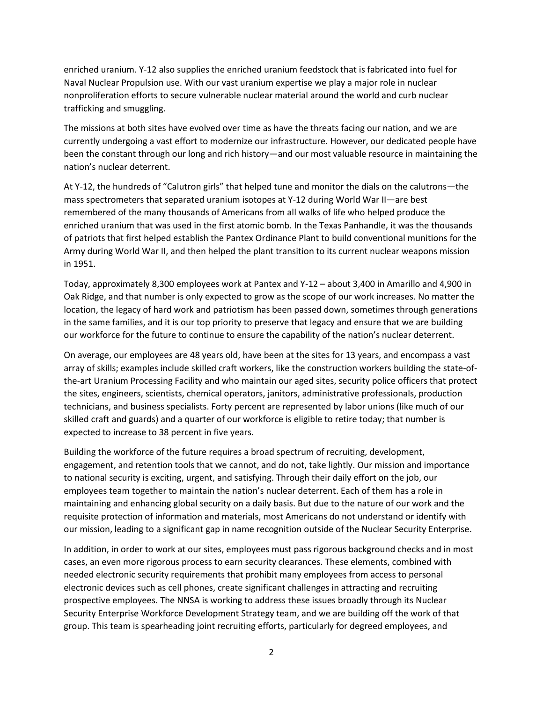enriched uranium. Y-12 also supplies the enriched uranium feedstock that is fabricated into fuel for Naval Nuclear Propulsion use. With our vast uranium expertise we play a major role in nuclear nonproliferation efforts to secure vulnerable nuclear material around the world and curb nuclear trafficking and smuggling.

The missions at both sites have evolved over time as have the threats facing our nation, and we are currently undergoing a vast effort to modernize our infrastructure. However, our dedicated people have been the constant through our long and rich history—and our most valuable resource in maintaining the nation's nuclear deterrent.

At Y-12, the hundreds of "Calutron girls" that helped tune and monitor the dials on the calutrons—the mass spectrometers that separated uranium isotopes at Y-12 during World War II—are best remembered of the many thousands of Americans from all walks of life who helped produce the enriched uranium that was used in the first atomic bomb. In the Texas Panhandle, it was the thousands of patriots that first helped establish the Pantex Ordinance Plant to build conventional munitions for the Army during World War II, and then helped the plant transition to its current nuclear weapons mission in 1951.

Today, approximately 8,300 employees work at Pantex and Y-12 – about 3,400 in Amarillo and 4,900 in Oak Ridge, and that number is only expected to grow as the scope of our work increases. No matter the location, the legacy of hard work and patriotism has been passed down, sometimes through generations in the same families, and it is our top priority to preserve that legacy and ensure that we are building our workforce for the future to continue to ensure the capability of the nation's nuclear deterrent.

On average, our employees are 48 years old, have been at the sites for 13 years, and encompass a vast array of skills; examples include skilled craft workers, like the construction workers building the state-ofthe-art Uranium Processing Facility and who maintain our aged sites, security police officers that protect the sites, engineers, scientists, chemical operators, janitors, administrative professionals, production technicians, and business specialists. Forty percent are represented by labor unions (like much of our skilled craft and guards) and a quarter of our workforce is eligible to retire today; that number is expected to increase to 38 percent in five years.

Building the workforce of the future requires a broad spectrum of recruiting, development, engagement, and retention tools that we cannot, and do not, take lightly. Our mission and importance to national security is exciting, urgent, and satisfying. Through their daily effort on the job, our employees team together to maintain the nation's nuclear deterrent. Each of them has a role in maintaining and enhancing global security on a daily basis. But due to the nature of our work and the requisite protection of information and materials, most Americans do not understand or identify with our mission, leading to a significant gap in name recognition outside of the Nuclear Security Enterprise.

In addition, in order to work at our sites, employees must pass rigorous background checks and in most cases, an even more rigorous process to earn security clearances. These elements, combined with needed electronic security requirements that prohibit many employees from access to personal electronic devices such as cell phones, create significant challenges in attracting and recruiting prospective employees. The NNSA is working to address these issues broadly through its Nuclear Security Enterprise Workforce Development Strategy team, and we are building off the work of that group. This team is spearheading joint recruiting efforts, particularly for degreed employees, and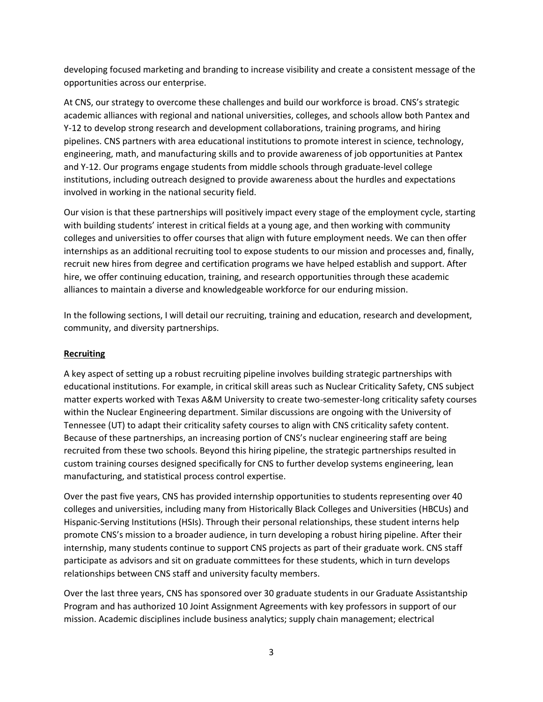developing focused marketing and branding to increase visibility and create a consistent message of the opportunities across our enterprise.

At CNS, our strategy to overcome these challenges and build our workforce is broad. CNS's strategic academic alliances with regional and national universities, colleges, and schools allow both Pantex and Y-12 to develop strong research and development collaborations, training programs, and hiring pipelines. CNS partners with area educational institutions to promote interest in science, technology, engineering, math, and manufacturing skills and to provide awareness of job opportunities at Pantex and Y-12. Our programs engage students from middle schools through graduate-level college institutions, including outreach designed to provide awareness about the hurdles and expectations involved in working in the national security field.

Our vision is that these partnerships will positively impact every stage of the employment cycle, starting with building students' interest in critical fields at a young age, and then working with community colleges and universities to offer courses that align with future employment needs. We can then offer internships as an additional recruiting tool to expose students to our mission and processes and, finally, recruit new hires from degree and certification programs we have helped establish and support. After hire, we offer continuing education, training, and research opportunities through these academic alliances to maintain a diverse and knowledgeable workforce for our enduring mission.

In the following sections, I will detail our recruiting, training and education, research and development, community, and diversity partnerships.

### **Recruiting**

A key aspect of setting up a robust recruiting pipeline involves building strategic partnerships with educational institutions. For example, in critical skill areas such as Nuclear Criticality Safety, CNS subject matter experts worked with Texas A&M University to create two-semester-long criticality safety courses within the Nuclear Engineering department. Similar discussions are ongoing with the University of Tennessee (UT) to adapt their criticality safety courses to align with CNS criticality safety content. Because of these partnerships, an increasing portion of CNS's nuclear engineering staff are being recruited from these two schools. Beyond this hiring pipeline, the strategic partnerships resulted in custom training courses designed specifically for CNS to further develop systems engineering, lean manufacturing, and statistical process control expertise.

Over the past five years, CNS has provided internship opportunities to students representing over 40 colleges and universities, including many from Historically Black Colleges and Universities (HBCUs) and Hispanic-Serving Institutions (HSIs). Through their personal relationships, these student interns help promote CNS's mission to a broader audience, in turn developing a robust hiring pipeline. After their internship, many students continue to support CNS projects as part of their graduate work. CNS staff participate as advisors and sit on graduate committees for these students, which in turn develops relationships between CNS staff and university faculty members.

Over the last three years, CNS has sponsored over 30 graduate students in our Graduate Assistantship Program and has authorized 10 Joint Assignment Agreements with key professors in support of our mission. Academic disciplines include business analytics; supply chain management; electrical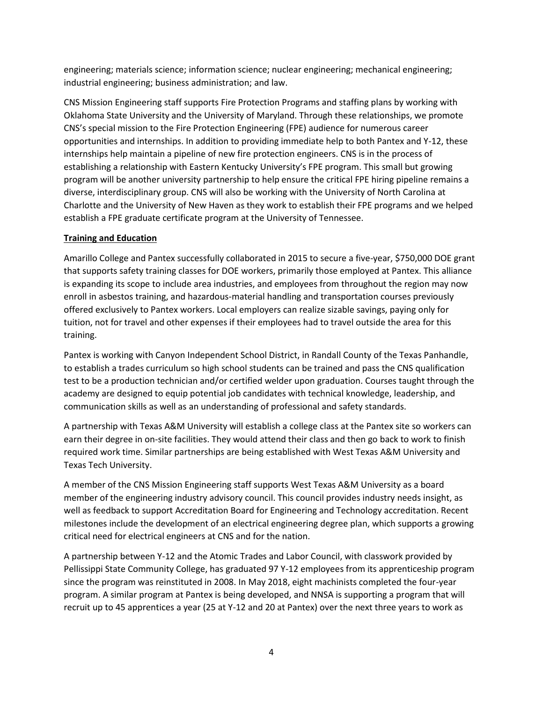engineering; materials science; information science; nuclear engineering; mechanical engineering; industrial engineering; business administration; and law.

CNS Mission Engineering staff supports Fire Protection Programs and staffing plans by working with Oklahoma State University and the University of Maryland. Through these relationships, we promote CNS's special mission to the Fire Protection Engineering (FPE) audience for numerous career opportunities and internships. In addition to providing immediate help to both Pantex and Y-12, these internships help maintain a pipeline of new fire protection engineers. CNS is in the process of establishing a relationship with Eastern Kentucky University's FPE program. This small but growing program will be another university partnership to help ensure the critical FPE hiring pipeline remains a diverse, interdisciplinary group. CNS will also be working with the University of North Carolina at Charlotte and the University of New Haven as they work to establish their FPE programs and we helped establish a FPE graduate certificate program at the University of Tennessee.

## **Training and Education**

Amarillo College and Pantex successfully collaborated in 2015 to secure a five-year, \$750,000 DOE grant that supports safety training classes for DOE workers, primarily those employed at Pantex. This alliance is expanding its scope to include area industries, and employees from throughout the region may now enroll in asbestos training, and hazardous-material handling and transportation courses previously offered exclusively to Pantex workers. Local employers can realize sizable savings, paying only for tuition, not for travel and other expenses if their employees had to travel outside the area for this training.

Pantex is working with Canyon Independent School District, in Randall County of the Texas Panhandle, to establish a trades curriculum so high school students can be trained and pass the CNS qualification test to be a production technician and/or certified welder upon graduation. Courses taught through the academy are designed to equip potential job candidates with technical knowledge, leadership, and communication skills as well as an understanding of professional and safety standards.

A partnership with Texas A&M University will establish a college class at the Pantex site so workers can earn their degree in on-site facilities. They would attend their class and then go back to work to finish required work time. Similar partnerships are being established with West Texas A&M University and Texas Tech University.

A member of the CNS Mission Engineering staff supports West Texas A&M University as a board member of the engineering industry advisory council. This council provides industry needs insight, as well as feedback to support Accreditation Board for Engineering and Technology accreditation. Recent milestones include the development of an electrical engineering degree plan, which supports a growing critical need for electrical engineers at CNS and for the nation.

A partnership between Y-12 and the Atomic Trades and Labor Council, with classwork provided by Pellissippi State Community College, has graduated 97 Y-12 employees from its apprenticeship program since the program was reinstituted in 2008. In May 2018, eight machinists completed the four-year program. A similar program at Pantex is being developed, and NNSA is supporting a program that will recruit up to 45 apprentices a year (25 at Y-12 and 20 at Pantex) over the next three years to work as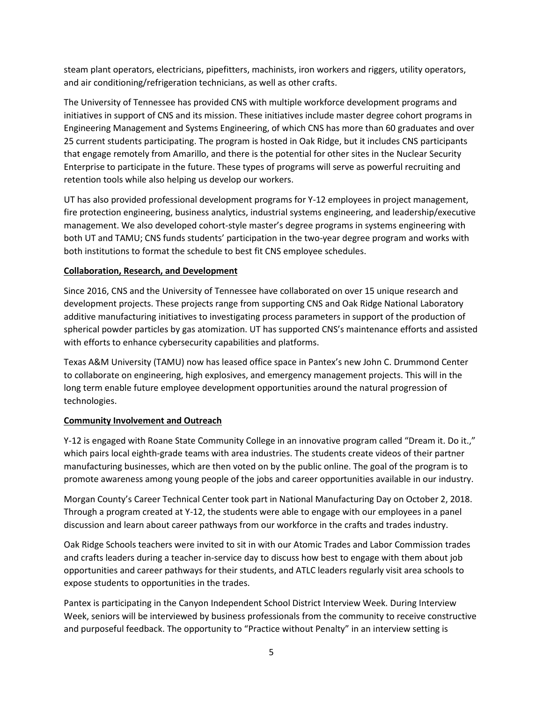steam plant operators, electricians, pipefitters, machinists, iron workers and riggers, utility operators, and air conditioning/refrigeration technicians, as well as other crafts.

The University of Tennessee has provided CNS with multiple workforce development programs and initiatives in support of CNS and its mission. These initiatives include master degree cohort programs in Engineering Management and Systems Engineering, of which CNS has more than 60 graduates and over 25 current students participating. The program is hosted in Oak Ridge, but it includes CNS participants that engage remotely from Amarillo, and there is the potential for other sites in the Nuclear Security Enterprise to participate in the future. These types of programs will serve as powerful recruiting and retention tools while also helping us develop our workers.

UT has also provided professional development programs for Y-12 employees in project management, fire protection engineering, business analytics, industrial systems engineering, and leadership/executive management. We also developed cohort-style master's degree programs in systems engineering with both UT and TAMU; CNS funds students' participation in the two-year degree program and works with both institutions to format the schedule to best fit CNS employee schedules.

### **Collaboration, Research, and Development**

Since 2016, CNS and the University of Tennessee have collaborated on over 15 unique research and development projects. These projects range from supporting CNS and Oak Ridge National Laboratory additive manufacturing initiatives to investigating process parameters in support of the production of spherical powder particles by gas atomization. UT has supported CNS's maintenance efforts and assisted with efforts to enhance cybersecurity capabilities and platforms.

Texas A&M University (TAMU) now has leased office space in Pantex's new John C. Drummond Center to collaborate on engineering, high explosives, and emergency management projects. This will in the long term enable future employee development opportunities around the natural progression of technologies.

### **Community Involvement and Outreach**

Y-12 is engaged with Roane State Community College in an innovative program called "Dream it. Do it.," which pairs local eighth-grade teams with area industries. The students create videos of their partner manufacturing businesses, which are then voted on by the public online. The goal of the program is to promote awareness among young people of the jobs and career opportunities available in our industry.

Morgan County's Career Technical Center took part in National Manufacturing Day on October 2, 2018. Through a program created at Y-12, the students were able to engage with our employees in a panel discussion and learn about career pathways from our workforce in the crafts and trades industry.

Oak Ridge Schools teachers were invited to sit in with our Atomic Trades and Labor Commission trades and crafts leaders during a teacher in-service day to discuss how best to engage with them about job opportunities and career pathways for their students, and ATLC leaders regularly visit area schools to expose students to opportunities in the trades.

Pantex is participating in the Canyon Independent School District Interview Week. During Interview Week, seniors will be interviewed by business professionals from the community to receive constructive and purposeful feedback. The opportunity to "Practice without Penalty" in an interview setting is